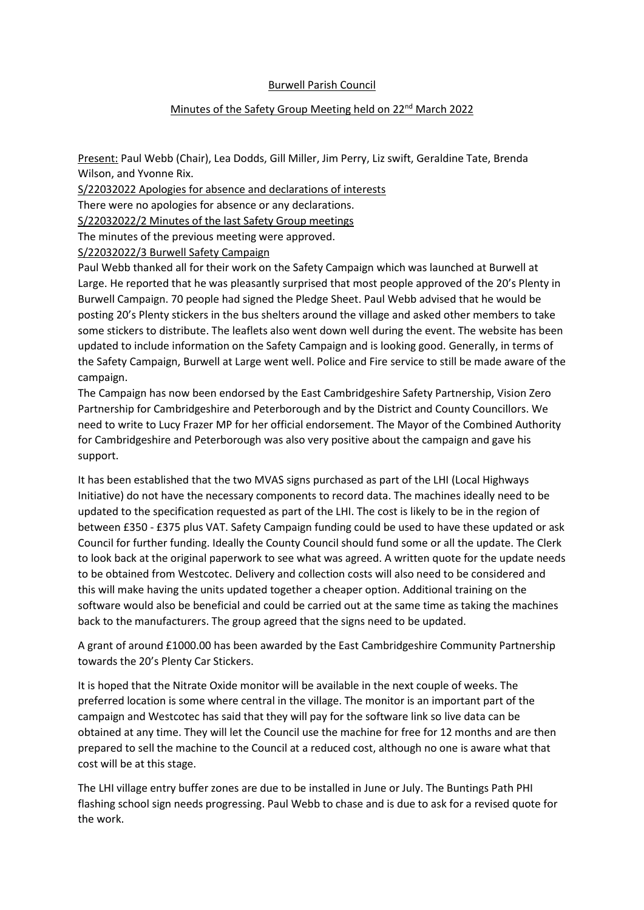## Burwell Parish Council

## Minutes of the Safety Group Meeting held on 22<sup>nd</sup> March 2022

Present: Paul Webb (Chair), Lea Dodds, Gill Miller, Jim Perry, Liz swift, Geraldine Tate, Brenda Wilson, and Yvonne Rix.

S/22032022 Apologies for absence and declarations of interests

There were no apologies for absence or any declarations.

S/22032022/2 Minutes of the last Safety Group meetings

The minutes of the previous meeting were approved.

S/22032022/3 Burwell Safety Campaign

Paul Webb thanked all for their work on the Safety Campaign which was launched at Burwell at Large. He reported that he was pleasantly surprised that most people approved of the 20's Plenty in Burwell Campaign. 70 people had signed the Pledge Sheet. Paul Webb advised that he would be posting 20's Plenty stickers in the bus shelters around the village and asked other members to take some stickers to distribute. The leaflets also went down well during the event. The website has been updated to include information on the Safety Campaign and is looking good. Generally, in terms of the Safety Campaign, Burwell at Large went well. Police and Fire service to still be made aware of the campaign.

The Campaign has now been endorsed by the East Cambridgeshire Safety Partnership, Vision Zero Partnership for Cambridgeshire and Peterborough and by the District and County Councillors. We need to write to Lucy Frazer MP for her official endorsement. The Mayor of the Combined Authority for Cambridgeshire and Peterborough was also very positive about the campaign and gave his support.

It has been established that the two MVAS signs purchased as part of the LHI (Local Highways Initiative) do not have the necessary components to record data. The machines ideally need to be updated to the specification requested as part of the LHI. The cost is likely to be in the region of between £350 - £375 plus VAT. Safety Campaign funding could be used to have these updated or ask Council for further funding. Ideally the County Council should fund some or all the update. The Clerk to look back at the original paperwork to see what was agreed. A written quote for the update needs to be obtained from Westcotec. Delivery and collection costs will also need to be considered and this will make having the units updated together a cheaper option. Additional training on the software would also be beneficial and could be carried out at the same time as taking the machines back to the manufacturers. The group agreed that the signs need to be updated.

A grant of around £1000.00 has been awarded by the East Cambridgeshire Community Partnership towards the 20's Plenty Car Stickers.

It is hoped that the Nitrate Oxide monitor will be available in the next couple of weeks. The preferred location is some where central in the village. The monitor is an important part of the campaign and Westcotec has said that they will pay for the software link so live data can be obtained at any time. They will let the Council use the machine for free for 12 months and are then prepared to sell the machine to the Council at a reduced cost, although no one is aware what that cost will be at this stage.

The LHI village entry buffer zones are due to be installed in June or July. The Buntings Path PHI flashing school sign needs progressing. Paul Webb to chase and is due to ask for a revised quote for the work.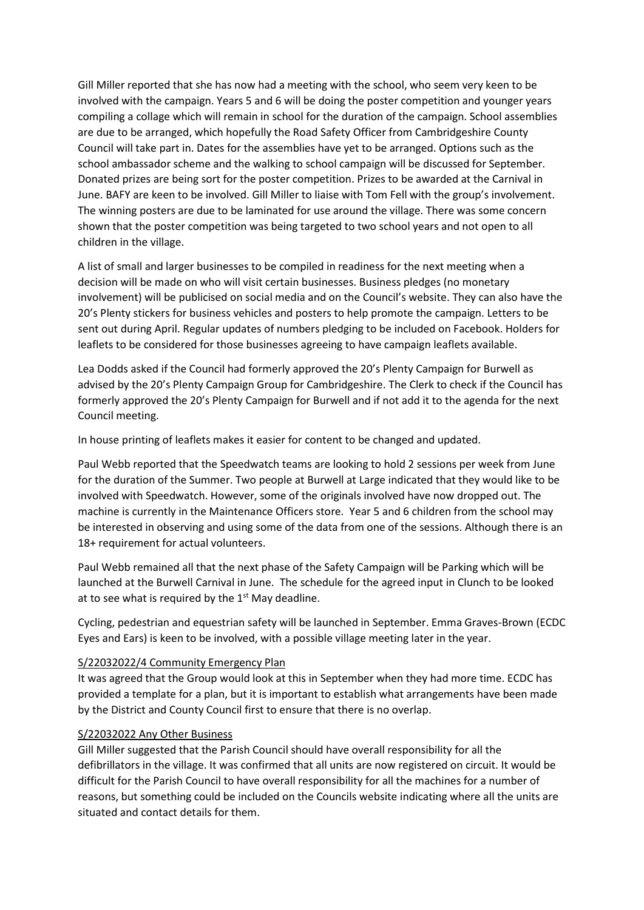Gill Miller reported that she has now had a meeting with the school, who seem very keen to be involved with the campaign. Years 5 and 6 will be doing the poster competition and younger years compiling a collage which will remain in school for the duration of the campaign. School assemblies are due to be arranged, which hopefully the Road Safety Officer from Cambridgeshire County Council will take part in. Dates for the assemblies have yet to be arranged. Options such as the school ambassador scheme and the walking to school campaign will be discussed for September. Donated prizes are being sort for the poster competition. Prizes to be awarded at the Carnival in June. BAFY are keen to be involved. Gill Miller to liaise with Tom Fell with the group's involvement. The winning posters are due to be laminated for use around the village. There was some concern shown that the poster competition was being targeted to two school years and not open to all children in the village.

A list of small and larger businesses to be compiled in readiness for the next meeting when a decision will be made on who will visit certain businesses. Business pledges (no monetary involvement) will be publicised on social media and on the Council's website. They can also have the 20's Plenty stickers for business vehicles and posters to help promote the campaign. Letters to be sent out during April. Regular updates of numbers pledging to be included on Facebook. Holders for leaflets to be considered for those businesses agreeing to have campaign leaflets available.

Lea Dodds asked if the Council had formerly approved the 20's Plenty Campaign for Burwell as advised by the 20's Plenty Campaign Group for Cambridgeshire. The Clerk to check if the Council has formerly approved the 20's Plenty Campaign for Burwell and if not add it to the agenda for the next Council meeting.

In house printing of leaflets makes it easier for content to be changed and updated.

Paul Webb reported that the Speedwatch teams are looking to hold 2 sessions per week from June for the duration of the Summer. Two people at Burwell at Large indicated that they would like to be involved with Speedwatch. However, some of the originals involved have now dropped out. The machine is currently in the Maintenance Officers store. Year 5 and 6 children from the school may be interested in observing and using some of the data from one of the sessions. Although there is an 18+ requirement for actual volunteers.

Paul Webb remained all that the next phase of the Safety Campaign will be Parking which will be launched at the Burwell Carnival in June. The schedule for the agreed input in Clunch to be looked at to see what is required by the  $1<sup>st</sup>$  May deadline.

Cycling, pedestrian and equestrian safety will be launched in September. Emma Graves-Brown (ECDC Eyes and Ears) is keen to be involved, with a possible village meeting later in the year.

## S/22032022/4 Community Emergency Plan

It was agreed that the Group would look at this in September when they had more time. ECDC has provided a template for a plan, but it is important to establish what arrangements have been made by the District and County Council first to ensure that there is no overlap.

## S/22032022 Any Other Business

Gill Miller suggested that the Parish Council should have overall responsibility for all the defibrillators in the village. It was confirmed that all units are now registered on circuit. It would be difficult for the Parish Council to have overall responsibility for all the machines for a number of reasons, but something could be included on the Councils website indicating where all the units are situated and contact details for them.